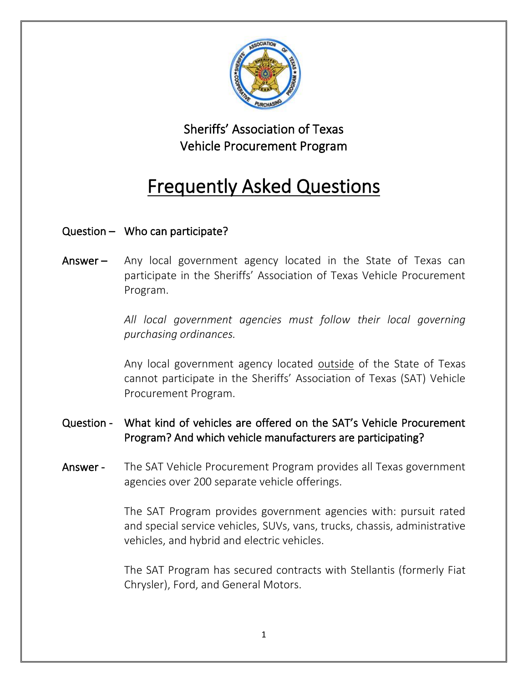

## Sheriffs' Association of Texas Vehicle Procurement Program

# Frequently Asked Questions

## Question – Who can participate?

Answer – Any local government agency located in the State of Texas can participate in the Sheriffs' Association of Texas Vehicle Procurement Program.

> All local government agencies must follow their local governing *purchasing ordinances.*

> Any local government agency located outside of the State of Texas cannot participate in the Sheriffs' Association of Texas (SAT) Vehicle Procurement Program.

### Question - What kind of vehicles are offered on the SAT's Vehicle Procurement Program? And which vehicle manufacturers are participating?

Answer - The SAT Vehicle Procurement Program provides all Texas government agencies over 200 separate vehicle offerings.

> The SAT Program provides government agencies with: pursuit rated and special service vehicles, SUVs, vans, trucks, chassis, administrative vehicles, and hybrid and electric vehicles.

> The SAT Program has secured contracts with Stellantis (formerly Fiat Chrysler), Ford, and General Motors.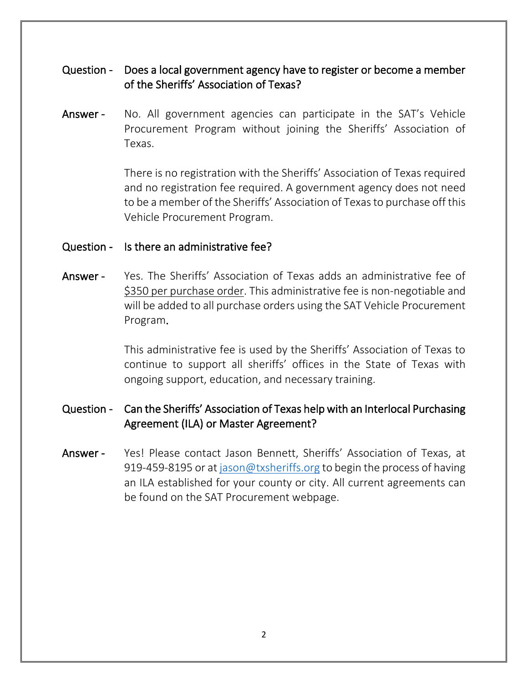#### Question - Does a local government agency have to register or become a member of the Sheriffs' Association of Texas?

Answer - No. All government agencies can participate in the SAT's Vehicle Procurement Program without joining the Sheriffs' Association of Texas.

> There is no registration with the Sheriffs' Association of Texas required and no registration fee required. A government agency does not need to be a member of the Sheriffs' Association of Texas to purchase off this Vehicle Procurement Program.

#### Question - Is there an administrative fee?

Answer - Yes. The Sheriffs' Association of Texas adds an administrative fee of \$350 per purchase order. This administrative fee is non-negotiable and will be added to all purchase orders using the SAT Vehicle Procurement Program.

> This administrative fee is used by the Sheriffs' Association of Texas to continue to support all sheriffs' offices in the State of Texas with ongoing support, education, and necessary training.

#### Question - Can the Sheriffs' Association of Texas help with an Interlocal Purchasing Agreement (ILA) or Master Agreement?

Answer - Yes! Please contact Jason Bennett, Sheriffs' Association of Texas, at 919-459-8195 or a[t jason@txsheriffs.org](mailto:jason@txsheriffs.org) to begin the process of having an ILA established for your county or city. All current agreements can be found on the SAT Procurement webpage.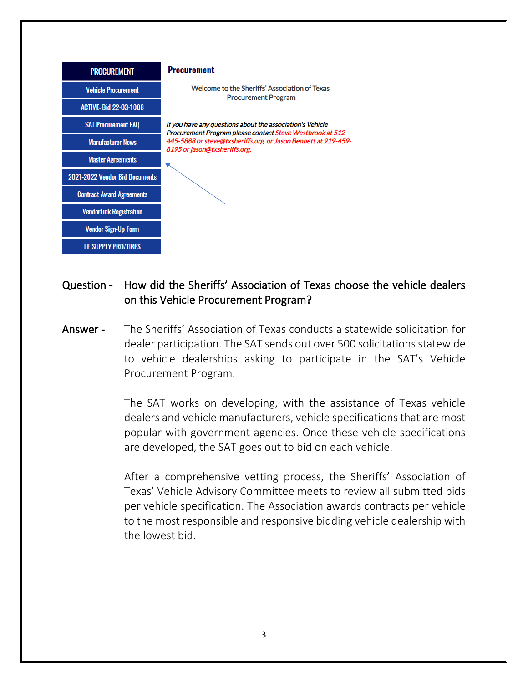

#### Question - How did the Sheriffs' Association of Texas choose the vehicle dealers on this Vehicle Procurement Program?

Answer - The Sheriffs' Association of Texas conducts a statewide solicitation for dealer participation. The SAT sends out over 500 solicitations statewide to vehicle dealerships asking to participate in the SAT's Vehicle Procurement Program.

> The SAT works on developing, with the assistance of Texas vehicle dealers and vehicle manufacturers, vehicle specifications that are most popular with government agencies. Once these vehicle specifications are developed, the SAT goes out to bid on each vehicle.

> After a comprehensive vetting process, the Sheriffs' Association of Texas' Vehicle Advisory Committee meets to review all submitted bids per vehicle specification. The Association awards contracts per vehicle to the most responsible and responsive bidding vehicle dealership with the lowest bid.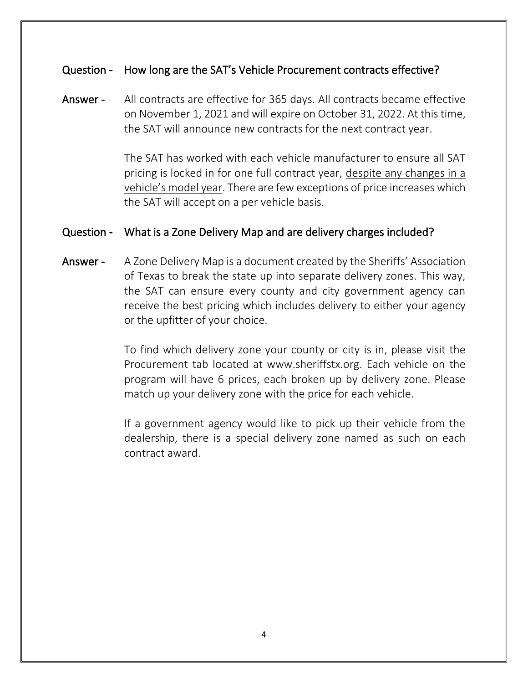#### Question - How long are the SAT's Vehicle Procurement contracts effective?

Answer - All contracts are effective for 365 days. All contracts became effective on November 1, 2021 and will expire on October 31, 2022. At this time, the SAT will announce new contracts for the next contract year.

> The SAT has worked with each vehicle manufacturer to ensure all SAT pricing is locked in for one full contract year, despite any changes in a vehicle's model year. There are few exceptions of price increases which the SAT will accept on a per vehicle basis.

#### Question - What is a Zone Delivery Map and are delivery charges included?

Answer - A Zone Delivery Map is a document created by the Sheriffs' Association of Texas to break the state up into separate delivery zones. This way, the SAT can ensure every county and city government agency can receive the best pricing which includes delivery to either your agency or the upfitter of your choice.

> To find which delivery zone your county or city is in, please visit the Procurement tab located at www.sheriffstx.org. Each vehicle on the program will have 6 prices, each broken up by delivery zone. Please match up your delivery zone with the price for each vehicle.

> If a government agency would like to pick up their vehicle from the dealership, there is a special delivery zone named as such on each contract award.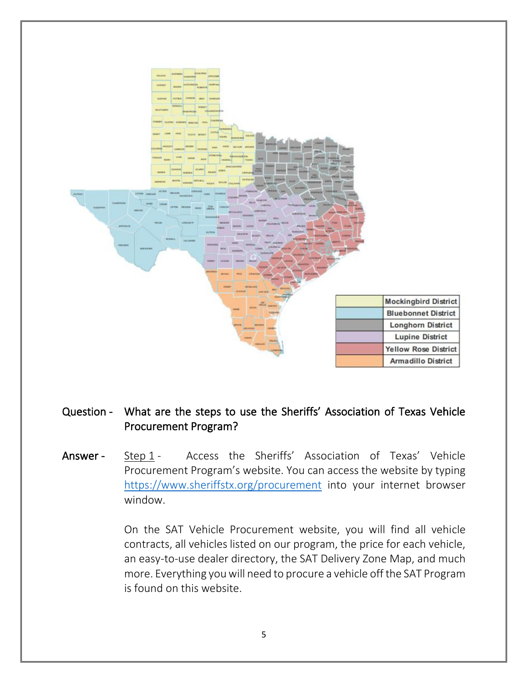

#### Question - What are the steps to use the Sheriffs' Association of Texas Vehicle Procurement Program?

Answer - Step 1 - Access the Sheriffs' Association of Texas' Vehicle Procurement Program's website. You can access the website by typing <https://www.sheriffstx.org/procurement> into your internet browser window.

> On the SAT Vehicle Procurement website, you will find all vehicle contracts, all vehicles listed on our program, the price for each vehicle, an easy-to-use dealer directory, the SAT Delivery Zone Map, and much more. Everything you will need to procure a vehicle off the SAT Program is found on this website.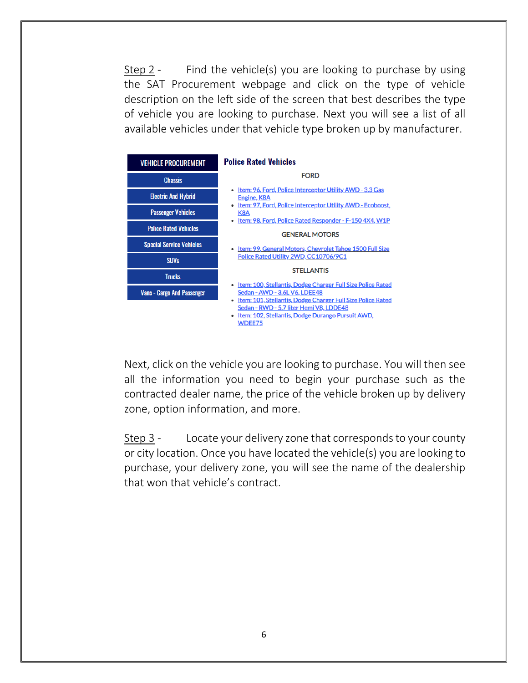Step 2 - Find the vehicle(s) you are looking to purchase by using the SAT Procurement webpage and click on the type of vehicle description on the left side of the screen that best describes the type of vehicle you are looking to purchase. Next you will see a list of all available vehicles under that vehicle type broken up by manufacturer.



Next, click on the vehicle you are looking to purchase. You will then see all the information you need to begin your purchase such as the contracted dealer name, the price of the vehicle broken up by delivery zone, option information, and more.

Step 3 - Locate your delivery zone that corresponds to your county or city location. Once you have located the vehicle(s) you are looking to purchase, your delivery zone, you will see the name of the dealership that won that vehicle's contract.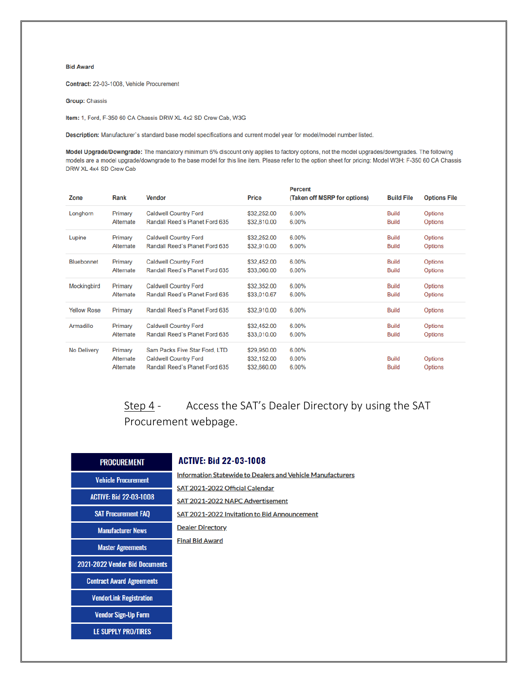#### **Bid Award**

Contract: 22-03-1008, Vehicle Procurement

**Group: Chassis** 

Item: 1, Ford, F-350 60 CA Chassis DRW XL 4x2 SD Crew Cab, W3G

Description: Manufacturer's standard base model specifications and current model year for model/model number listed.

Model Upgrade/Downgrade: The mandatory minimum 6% discount only applies to factory options, not the model upgrades/downgrades. The following models are a model upgrade/downgrade to the base model for this line item. Please refer to the option sheet for pricing: Model W3H: F-350 60 CA Chassis DRW XL 4x4 SD Crew Cab

| Zone               | Rank                              | <b>Vendor</b>                                                                                   | <b>Price</b>                              | <b>Percent</b><br>(Taken off MSRP for options) | <b>Build File</b>            | <b>Options File</b>              |
|--------------------|-----------------------------------|-------------------------------------------------------------------------------------------------|-------------------------------------------|------------------------------------------------|------------------------------|----------------------------------|
| Longhorn           | Primary                           | <b>Caldwell Country Ford</b>                                                                    | \$32,252.00                               | 6.00%                                          | <b>Build</b>                 | <b>Options</b>                   |
|                    | Alternate                         | Randall Reed's Planet Ford 635                                                                  | \$32,810.00                               | 6.00%                                          | <b>Build</b>                 | Options                          |
| Lupine             | Primary                           | <b>Caldwell Country Ford</b>                                                                    | \$32,252.00                               | 6.00%                                          | <b>Build</b>                 | <b>Options</b>                   |
|                    | Alternate                         | Randall Reed's Planet Ford 635                                                                  | \$32,910.00                               | 6.00%                                          | <b>Build</b>                 | <b>Options</b>                   |
| <b>Bluebonnet</b>  | Primary                           | <b>Caldwell Country Ford</b>                                                                    | \$32,452.00                               | 6.00%                                          | <b>Build</b>                 | Options                          |
|                    | Alternate                         | Randall Reed's Planet Ford 635                                                                  | \$33,060.00                               | 6.00%                                          | <b>Build</b>                 | <b>Options</b>                   |
| Mockingbird        | Primary                           | <b>Caldwell Country Ford</b>                                                                    | \$32,352.00                               | 6.00%                                          | <b>Build</b>                 | <b>Options</b>                   |
|                    | Alternate                         | Randall Reed's Planet Ford 635                                                                  | \$33,010.67                               | 6.00%                                          | <b>Build</b>                 | Options                          |
| <b>Yellow Rose</b> | Primary                           | Randall Reed's Planet Ford 635                                                                  | \$32,910.00                               | 6.00%                                          | <b>Build</b>                 | <b>Options</b>                   |
| Armadillo          | Primary                           | <b>Caldwell Country Ford</b>                                                                    | \$32,452.00                               | 6.00%                                          | <b>Build</b>                 | Options                          |
|                    | Alternate                         | Randall Reed's Planet Ford 635                                                                  | \$33,010,00                               | 6.00%                                          | <b>Build</b>                 | <b>Options</b>                   |
| No Delivery        | Primary<br>Alternate<br>Alternate | Sam Packs Five Star Ford, LTD<br><b>Caldwell Country Ford</b><br>Randall Reed's Planet Ford 635 | \$29,950.00<br>\$32,152.00<br>\$32,660.00 | 6.00%<br>6.00%<br>6.00%                        | <b>Build</b><br><b>Build</b> | <b>Options</b><br><b>Options</b> |

Access the SAT's Dealer Directory by using the SAT Step  $4-$ Procurement webpage.

| <b>PROCUREMENT</b>               |
|----------------------------------|
| <b>Vehicle Procurement</b>       |
| <b>ACTIVE: Bid 22-03-1008</b>    |
| <b>SAT Procurement FAQ</b>       |
| <b>Manufacturer News</b>         |
| <b>Master Agreements</b>         |
| 2021-2022 Vendor Bid Documents   |
| <b>Contract Award Agreements</b> |
| <b>VendorLink Registration</b>   |
| <b>Vendor Sign-Up Form</b>       |
| <b>LE SUPPLY PRO/TIRES</b>       |

#### **ACTIVE: Bid 22-03-1008**

| <b>Information Statewide to Dealers and Vehicle Manufacturers</b> |
|-------------------------------------------------------------------|
| SAT 2021-2022 Official Calendar                                   |
| SAT 2021-2022 NAPC Advertisement                                  |
| <b>SAT 2021-2022 Invitation to Bid Announcement</b>               |
| <b>Dealer Directory</b>                                           |
| <b>Final Bid Award</b>                                            |
|                                                                   |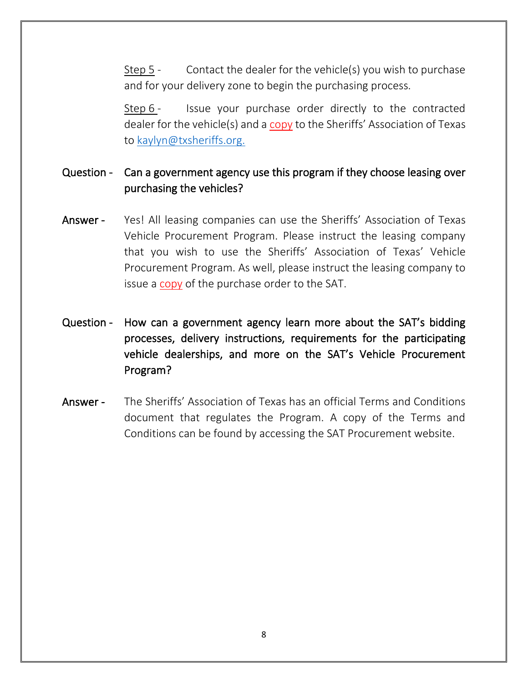Step 5 - Contact the dealer for the vehicle(s) you wish to purchase and for your delivery zone to begin the purchasing process.

Step 6 - Issue your purchase order directly to the contracted dealer for the vehicle(s) and a copy to the Sheriffs' Association of Texas to [kaylyn@txsheriffs.org.](mailto:kaylyn@txsheriffs.org)

#### Question - Can a government agency use this program if they choose leasing over purchasing the vehicles?

- Answer Yes! All leasing companies can use the Sheriffs' Association of Texas Vehicle Procurement Program. Please instruct the leasing company that you wish to use the Sheriffs' Association of Texas' Vehicle Procurement Program. As well, please instruct the leasing company to issue a copy of the purchase order to the SAT.
- Question How can a government agency learn more about the SAT's bidding processes, delivery instructions, requirements for the participating vehicle dealerships, and more on the SAT's Vehicle Procurement Program?
- Answer The Sheriffs' Association of Texas has an official Terms and Conditions document that regulates the Program. A copy of the Terms and Conditions can be found by accessing the SAT Procurement website.